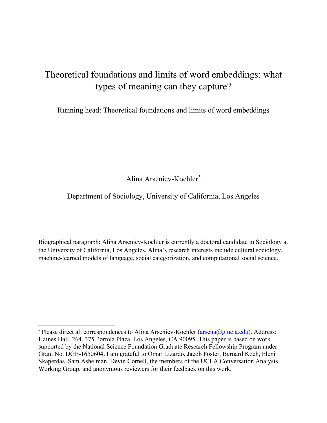# Theoretical foundations and limits of word embeddings: what types of meaning can they capture?

Running head: Theoretical foundations and limits of word embeddings

Alina Arseniev-Koehle[r\\*](#page-0-0)

### Department of Sociology, University of California, Los Angeles

Biographical paragraph: Alina Arseniev-Koehler is currently a doctoral candidate in Sociology at the University of California, Los Angeles. Alina's research interests include cultural sociology, machine-learned models of language, social categorization, and computational social science.

<span id="page-0-0"></span><sup>\*</sup> Please direct all correspondences to Alina Arseniev-Koehler [\(arsena@g.ucla.edu\)](mailto:arsena@g.ucla.edu). Address: Haines Hall, 264, 375 Portola Plaza, Los Angeles, CA 90095. This paper is based on work supported by the National Science Foundation Graduate Research Fellowship Program under Grant No. DGE-1650604. I am grateful to Omar Lizardo, Jacob Foster, Bernard Koch, Eleni Skaperdas, Sam Ashelman, Devin Cornell, the members of the UCLA Conversation Analysis Working Group, and anonymous reviewers for their feedback on this work.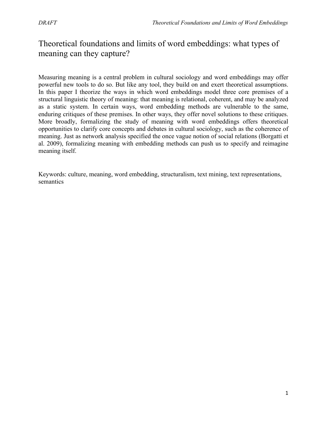### Theoretical foundations and limits of word embeddings: what types of meaning can they capture?

Measuring meaning is a central problem in cultural sociology and word embeddings may offer powerful new tools to do so. But like any tool, they build on and exert theoretical assumptions. In this paper I theorize the ways in which word embeddings model three core premises of a structural linguistic theory of meaning: that meaning is relational, coherent, and may be analyzed as a static system. In certain ways, word embedding methods are vulnerable to the same, enduring critiques of these premises. In other ways, they offer novel solutions to these critiques. More broadly, formalizing the study of meaning with word embeddings offers theoretical opportunities to clarify core concepts and debates in cultural sociology, such as the coherence of meaning. Just as network analysis specified the once vague notion of social relations (Borgatti et al. 2009), formalizing meaning with embedding methods can push us to specify and reimagine meaning itself.

Keywords: culture, meaning, word embedding, structuralism, text mining, text representations, semantics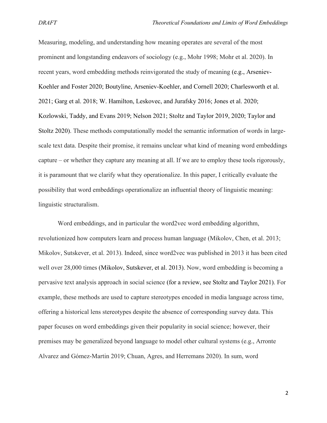Measuring, modeling, and understanding how meaning operates are several of the most prominent and longstanding endeavors of sociology (e.g., Mohr 1998; Mohr et al. 2020). In recent years, word embedding methods reinvigorated the study of meaning (e.g., Arseniev-Koehler and Foster 2020; Boutyline, Arseniev-Koehler, and Cornell 2020; Charlesworth et al. 2021; Garg et al. 2018; W. Hamilton, Leskovec, and Jurafsky 2016; Jones et al. 2020; Kozlowski, Taddy, and Evans 2019; Nelson 2021; Stoltz and Taylor 2019, 2020; Taylor and Stoltz 2020). These methods computationally model the semantic information of words in largescale text data. Despite their promise, it remains unclear what kind of meaning word embeddings capture – or whether they capture any meaning at all. If we are to employ these tools rigorously, it is paramount that we clarify what they operationalize. In this paper, I critically evaluate the possibility that word embeddings operationalize an influential theory of linguistic meaning: linguistic structuralism.

Word embeddings, and in particular the word2vec word embedding algorithm, revolutionized how computers learn and process human language (Mikolov, Chen, et al. 2013; Mikolov, Sutskever, et al. 2013). Indeed, since word2vec was published in 2013 it has been cited well over 28,000 times (Mikolov, Sutskever, et al. 2013). Now, word embedding is becoming a pervasive text analysis approach in social science (for a review, see Stoltz and Taylor 2021). For example, these methods are used to capture stereotypes encoded in media language across time, offering a historical lens stereotypes despite the absence of corresponding survey data. This paper focuses on word embeddings given their popularity in social science; however, their premises may be generalized beyond language to model other cultural systems (e.g., Arronte Alvarez and Gómez-Martin 2019; Chuan, Agres, and Herremans 2020). In sum, word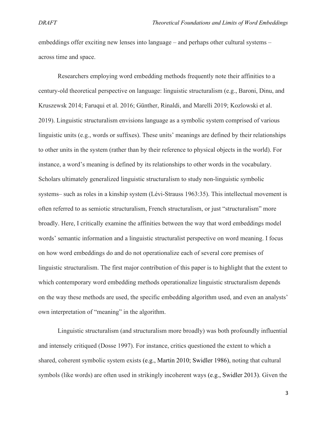embeddings offer exciting new lenses into language – and perhaps other cultural systems – across time and space.

Researchers employing word embedding methods frequently note their affinities to a century-old theoretical perspective on language: linguistic structuralism (e.g., Baroni, Dinu, and Kruszewsk 2014; Faruqui et al. 2016; Günther, Rinaldi, and Marelli 2019; Kozlowski et al. 2019). Linguistic structuralism envisions language as a symbolic system comprised of various linguistic units (e.g., words or suffixes). These units' meanings are defined by their relationships to other units in the system (rather than by their reference to physical objects in the world). For instance, a word's meaning is defined by its relationships to other words in the vocabulary. Scholars ultimately generalized linguistic structuralism to study non-linguistic symbolic systems– such as roles in a kinship system (Lévi-Strauss 1963:35). This intellectual movement is often referred to as semiotic structuralism, French structuralism, or just "structuralism" more broadly. Here, I critically examine the affinities between the way that word embeddings model words' semantic information and a linguistic structuralist perspective on word meaning. I focus on how word embeddings do and do not operationalize each of several core premises of linguistic structuralism. The first major contribution of this paper is to highlight that the extent to which contemporary word embedding methods operationalize linguistic structuralism depends on the way these methods are used, the specific embedding algorithm used, and even an analysts' own interpretation of "meaning" in the algorithm.

Linguistic structuralism (and structuralism more broadly) was both profoundly influential and intensely critiqued (Dosse 1997). For instance, critics questioned the extent to which a shared, coherent symbolic system exists (e.g., Martin 2010; Swidler 1986), noting that cultural symbols (like words) are often used in strikingly incoherent ways (e.g., Swidler 2013). Given the

3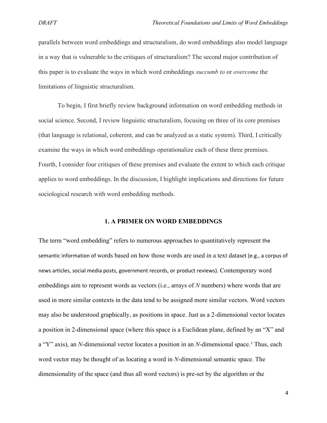parallels between word embeddings and structuralism, do word embeddings also model language in a way that is vulnerable to the critiques of structuralism? The second major contribution of this paper is to evaluate the ways in which word embeddings *succumb to* or *overcome* the limitations of linguistic structuralism.

To begin, I first briefly review background information on word embedding methods in social science. Second, I review linguistic structuralism, focusing on three of its core premises (that language is relational, coherent, and can be analyzed as a static system). Third, I critically examine the ways in which word embeddings operationalize each of these three premises. Fourth, I consider four critiques of these premises and evaluate the extent to which each critique applies to word embeddings. In the discussion, I highlight implications and directions for future sociological research with word embedding methods.

#### **1. A PRIMER ON WORD EMBEDDINGS**

The term "word embedding" refers to numerous approaches to quantitatively represent the semantic information of words based on how those words are used in a text dataset (e.g., a corpus of news articles, social media posts, government records, or product reviews). Contemporary word embeddings aim to represent words as vectors (i.e., arrays of *N* numbers) where words that are used in more similar contexts in the data tend to be assigned more similar vectors. Word vectors may also be understood graphically, as positions in space. Just as a 2-dimensional vector locates a position in 2-dimensional space (where this space is a Euclidean plane, defined by an "X" and a "Y" axis), an *N*-dimensional vector locates a position in an *N*-dimensional space. [1](#page-40-0) Thus, each word vector may be thought of as locating a word in *N*-dimensional semantic space. The dimensionality of the space (and thus all word vectors) is pre-set by the algorithm or the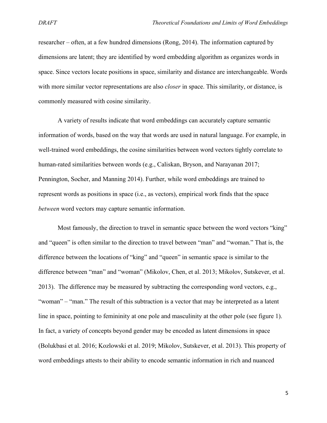researcher – often, at a few hundred dimensions (Rong, 2014). The information captured by dimensions are latent; they are identified by word embedding algorithm as organizes words in space. Since vectors locate positions in space, similarity and distance are interchangeable. Words with more similar vector representations are also *closer* in space. This similarity, or distance, is commonly measured with cosine similarity.

A variety of results indicate that word embeddings can accurately capture semantic information of words, based on the way that words are used in natural language. For example, in well-trained word embeddings, the cosine similarities between word vectors tightly correlate to human-rated similarities between words (e.g., Caliskan, Bryson, and Narayanan 2017; Pennington, Socher, and Manning 2014). Further, while word embeddings are trained to represent words as positions in space (i.e., as vectors), empirical work finds that the space *between* word vectors may capture semantic information.

Most famously, the direction to travel in semantic space between the word vectors "king" and "queen" is often similar to the direction to travel between "man" and "woman." That is, the difference between the locations of "king" and "queen" in semantic space is similar to the difference between "man" and "woman" (Mikolov, Chen, et al. 2013; Mikolov, Sutskever, et al. 2013). The difference may be measured by subtracting the corresponding word vectors, e.g., "woman" – "man." The result of this subtraction is a vector that may be interpreted as a latent line in space, pointing to femininity at one pole and masculinity at the other pole (see figure 1). In fact, a variety of concepts beyond gender may be encoded as latent dimensions in space (Bolukbasi et al. 2016; Kozlowski et al. 2019; Mikolov, Sutskever, et al. 2013). This property of word embeddings attests to their ability to encode semantic information in rich and nuanced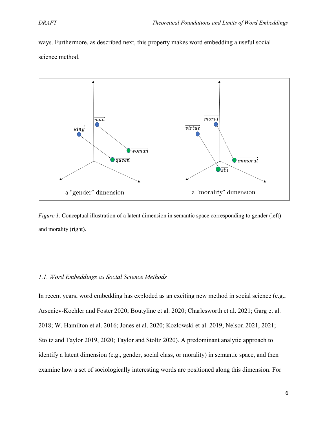ways. Furthermore, as described next, this property makes word embedding a useful social science method.



*Figure 1.* Conceptual illustration of a latent dimension in semantic space corresponding to gender (left) and morality (right).

#### *1.1. Word Embeddings as Social Science Methods*

In recent years, word embedding has exploded as an exciting new method in social science (e.g., Arseniev-Koehler and Foster 2020; Boutyline et al. 2020; Charlesworth et al. 2021; Garg et al. 2018; W. Hamilton et al. 2016; Jones et al. 2020; Kozlowski et al. 2019; Nelson 2021, 2021; Stoltz and Taylor 2019, 2020; Taylor and Stoltz 2020). A predominant analytic approach to identify a latent dimension (e.g., gender, social class, or morality) in semantic space, and then examine how a set of sociologically interesting words are positioned along this dimension. For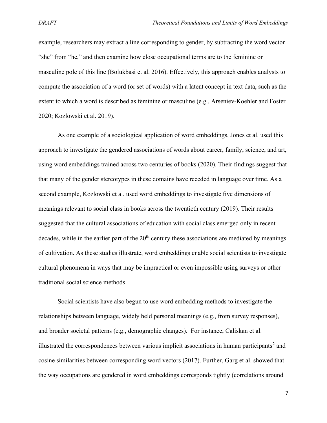example, researchers may extract a line corresponding to gender, by subtracting the word vector "she" from "he," and then examine how close occupational terms are to the feminine or masculine pole of this line (Bolukbasi et al. 2016). Effectively, this approach enables analysts to compute the association of a word (or set of words) with a latent concept in text data, such as the extent to which a word is described as feminine or masculine (e.g., Arseniev-Koehler and Foster 2020; Kozlowski et al. 2019).

As one example of a sociological application of word embeddings, Jones et al. used this approach to investigate the gendered associations of words about career, family, science, and art, using word embeddings trained across two centuries of books (2020). Their findings suggest that that many of the gender stereotypes in these domains have receded in language over time. As a second example, Kozlowski et al. used word embeddings to investigate five dimensions of meanings relevant to social class in books across the twentieth century (2019). Their results suggested that the cultural associations of education with social class emerged only in recent decades, while in the earlier part of the  $20<sup>th</sup>$  century these associations are mediated by meanings of cultivation. As these studies illustrate, word embeddings enable social scientists to investigate cultural phenomena in ways that may be impractical or even impossible using surveys or other traditional social science methods.

Social scientists have also begun to use word embedding methods to investigate the relationships between language, widely held personal meanings (e.g., from survey responses), and broader societal patterns (e.g., demographic changes). For instance, Caliskan et al. illustrated the correspondences between various implicit associations in human participants<sup>[2](#page-40-1)</sup> and cosine similarities between corresponding word vectors (2017). Further, Garg et al. showed that the way occupations are gendered in word embeddings corresponds tightly (correlations around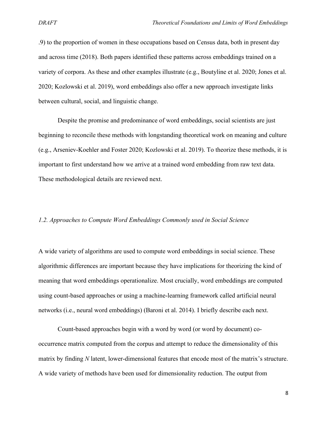.9) to the proportion of women in these occupations based on Census data, both in present day and across time (2018). Both papers identified these patterns across embeddings trained on a variety of corpora. As these and other examples illustrate (e.g., Boutyline et al. 2020; Jones et al. 2020; Kozlowski et al. 2019), word embeddings also offer a new approach investigate links between cultural, social, and linguistic change.

Despite the promise and predominance of word embeddings, social scientists are just beginning to reconcile these methods with longstanding theoretical work on meaning and culture (e.g., Arseniev-Koehler and Foster 2020; Kozlowski et al. 2019). To theorize these methods, it is important to first understand how we arrive at a trained word embedding from raw text data. These methodological details are reviewed next.

#### *1.2. Approaches to Compute Word Embeddings Commonly used in Social Science*

A wide variety of algorithms are used to compute word embeddings in social science. These algorithmic differences are important because they have implications for theorizing the kind of meaning that word embeddings operationalize. Most crucially, word embeddings are computed using count-based approaches or using a machine-learning framework called artificial neural networks (i.e., neural word embeddings) (Baroni et al. 2014). I briefly describe each next.

Count-based approaches begin with a word by word (or word by document) cooccurrence matrix computed from the corpus and attempt to reduce the dimensionality of this matrix by finding *N* latent, lower-dimensional features that encode most of the matrix's structure. A wide variety of methods have been used for dimensionality reduction. The output from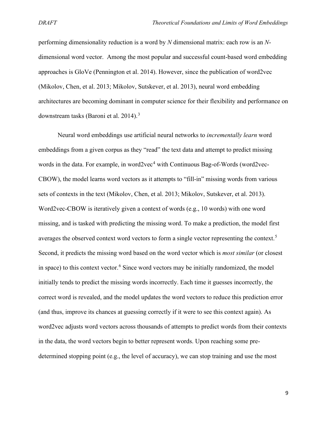performing dimensionality reduction is a word by *N* dimensional matrix: each row is an *N*dimensional word vector. Among the most popular and successful count-based word embedding approaches is GloVe (Pennington et al. 2014). However, since the publication of word2vec (Mikolov, Chen, et al. 2013; Mikolov, Sutskever, et al. 2013), neural word embedding architectures are becoming dominant in computer science for their flexibility and performance on downstream tasks (Baroni et al. 2014).<sup>[3](#page-40-2)</sup>

Neural word embeddings use artificial neural networks to *incrementally learn* word embeddings from a given corpus as they "read" the text data and attempt to predict missing words in the data. For example, in word2vec<sup>[4](#page-40-3)</sup> with Continuous Bag-of-Words (word2vec-CBOW), the model learns word vectors as it attempts to "fill-in" missing words from various sets of contexts in the text (Mikolov, Chen, et al. 2013; Mikolov, Sutskever, et al. 2013). Word2vec-CBOW is iteratively given a context of words (e.g., 10 words) with one word missing, and is tasked with predicting the missing word. To make a prediction, the model first averages the observed context word vectors to form a single vector representing the context.<sup>[5](#page-40-4)</sup> Second, it predicts the missing word based on the word vector which is *most similar* (or closest in space) to this context vector.<sup>[6](#page-40-5)</sup> Since word vectors may be initially randomized, the model initially tends to predict the missing words incorrectly. Each time it guesses incorrectly, the correct word is revealed, and the model updates the word vectors to reduce this prediction error (and thus, improve its chances at guessing correctly if it were to see this context again). As word2vec adjusts word vectors across thousands of attempts to predict words from their contexts in the data, the word vectors begin to better represent words. Upon reaching some predetermined stopping point (e.g., the level of accuracy), we can stop training and use the most

9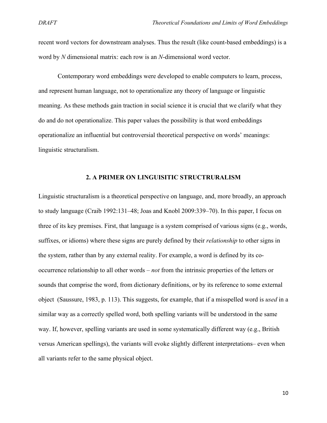recent word vectors for downstream analyses. Thus the result (like count-based embeddings) is a word by *N* dimensional matrix: each row is an *N*-dimensional word vector.

Contemporary word embeddings were developed to enable computers to learn, process, and represent human language, not to operationalize any theory of language or linguistic meaning. As these methods gain traction in social science it is crucial that we clarify what they do and do not operationalize. This paper values the possibility is that word embeddings operationalize an influential but controversial theoretical perspective on words' meanings: linguistic structuralism.

#### **2. A PRIMER ON LINGUISITIC STRUCTRURALISM**

Linguistic structuralism is a theoretical perspective on language, and, more broadly, an approach to study language (Craib 1992:131–48; Joas and Knobl 2009:339–70). In this paper, I focus on three of its key premises. First, that language is a system comprised of various signs (e.g., words, suffixes, or idioms) where these signs are purely defined by their *relationship* to other signs in the system, rather than by any external reality. For example, a word is defined by its cooccurrence relationship to all other words – *not* from the intrinsic properties of the letters or sounds that comprise the word, from dictionary definitions, or by its reference to some external object (Saussure, 1983, p. 113). This suggests, for example, that if a misspelled word is *used* in a similar way as a correctly spelled word, both spelling variants will be understood in the same way. If, however, spelling variants are used in some systematically different way (e.g., British versus American spellings), the variants will evoke slightly different interpretations– even when all variants refer to the same physical object.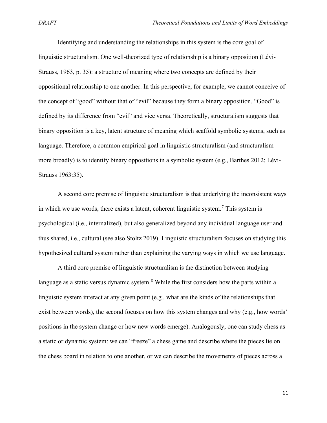Identifying and understanding the relationships in this system is the core goal of linguistic structuralism. One well-theorized type of relationship is a binary opposition (Lévi-Strauss, 1963, p. 35): a structure of meaning where two concepts are defined by their oppositional relationship to one another. In this perspective, for example, we cannot conceive of the concept of "good" without that of "evil" because they form a binary opposition. "Good" is defined by its difference from "evil" and vice versa. Theoretically, structuralism suggests that binary opposition is a key, latent structure of meaning which scaffold symbolic systems, such as language. Therefore, a common empirical goal in linguistic structuralism (and structuralism more broadly) is to identify binary oppositions in a symbolic system (e.g., Barthes 2012; Lévi-Strauss 1963:35).

A second core premise of linguistic structuralism is that underlying the inconsistent ways in which we use words, there exists a latent, coherent linguistic system. [7](#page-40-6) This system is psychological (i.e., internalized), but also generalized beyond any individual language user and thus shared, i.e., cultural (see also Stoltz 2019). Linguistic structuralism focuses on studying this hypothesized cultural system rather than explaining the varying ways in which we use language.

A third core premise of linguistic structuralism is the distinction between studying language as a static versus dynamic system.<sup>[8](#page-40-7)</sup> While the first considers how the parts within a linguistic system interact at any given point (e.g., what are the kinds of the relationships that exist between words), the second focuses on how this system changes and why (e.g., how words' positions in the system change or how new words emerge). Analogously, one can study chess as a static or dynamic system: we can "freeze" a chess game and describe where the pieces lie on the chess board in relation to one another, or we can describe the movements of pieces across a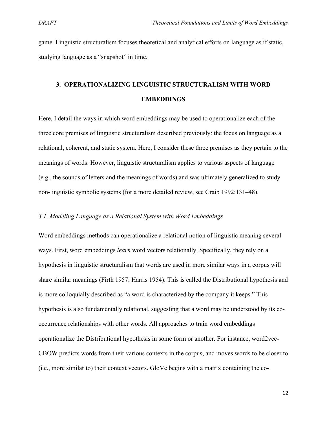game. Linguistic structuralism focuses theoretical and analytical efforts on language as if static, studying language as a "snapshot" in time.

## **3. OPERATIONALIZING LINGUISTIC STRUCTURALISM WITH WORD EMBEDDINGS**

Here, I detail the ways in which word embeddings may be used to operationalize each of the three core premises of linguistic structuralism described previously: the focus on language as a relational, coherent, and static system. Here, I consider these three premises as they pertain to the meanings of words. However, linguistic structuralism applies to various aspects of language (e.g., the sounds of letters and the meanings of words) and was ultimately generalized to study non-linguistic symbolic systems (for a more detailed review, see Craib 1992:131–48).

#### *3.1. Modeling Language as a Relational System with Word Embeddings*

Word embeddings methods can operationalize a relational notion of linguistic meaning several ways. First, word embeddings *learn* word vectors relationally. Specifically, they rely on a hypothesis in linguistic structuralism that words are used in more similar ways in a corpus will share similar meanings (Firth 1957; Harris 1954). This is called the Distributional hypothesis and is more colloquially described as "a word is characterized by the company it keeps." This hypothesis is also fundamentally relational, suggesting that a word may be understood by its cooccurrence relationships with other words. All approaches to train word embeddings operationalize the Distributional hypothesis in some form or another. For instance, word2vec-CBOW predicts words from their various contexts in the corpus, and moves words to be closer to (i.e., more similar to) their context vectors. GloVe begins with a matrix containing the co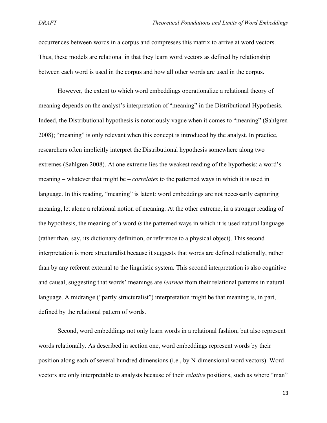occurrences between words in a corpus and compresses this matrix to arrive at word vectors. Thus, these models are relational in that they learn word vectors as defined by relationship between each word is used in the corpus and how all other words are used in the corpus.

However, the extent to which word embeddings operationalize a relational theory of meaning depends on the analyst's interpretation of "meaning" in the Distributional Hypothesis. Indeed, the Distributional hypothesis is notoriously vague when it comes to "meaning" (Sahlgren 2008); "meaning" is only relevant when this concept is introduced by the analyst. In practice, researchers often implicitly interpret the Distributional hypothesis somewhere along two extremes (Sahlgren 2008). At one extreme lies the weakest reading of the hypothesis: a word's meaning – whatever that might be – *correlates* to the patterned ways in which it is used in language. In this reading, "meaning" is latent: word embeddings are not necessarily capturing meaning, let alone a relational notion of meaning. At the other extreme, in a stronger reading of the hypothesis, the meaning of a word *is* the patterned ways in which it is used natural language (rather than, say, its dictionary definition, or reference to a physical object). This second interpretation is more structuralist because it suggests that words are defined relationally, rather than by any referent external to the linguistic system. This second interpretation is also cognitive and causal, suggesting that words' meanings are *learned* from their relational patterns in natural language. A midrange ("partly structuralist") interpretation might be that meaning is, in part, defined by the relational pattern of words.

Second, word embeddings not only learn words in a relational fashion, but also represent words relationally. As described in section one, word embeddings represent words by their position along each of several hundred dimensions (i.e., by N-dimensional word vectors). Word vectors are only interpretable to analysts because of their *relative* positions, such as where "man"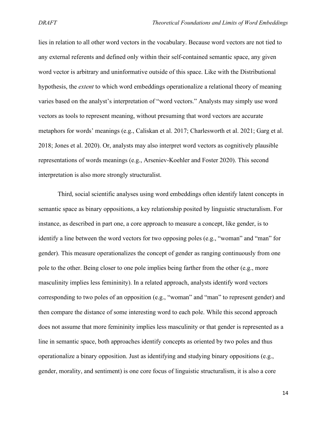lies in relation to all other word vectors in the vocabulary. Because word vectors are not tied to any external referents and defined only within their self-contained semantic space, any given word vector is arbitrary and uninformative outside of this space. Like with the Distributional hypothesis, the *extent* to which word embeddings operationalize a relational theory of meaning varies based on the analyst's interpretation of "word vectors." Analysts may simply use word vectors as tools to represent meaning, without presuming that word vectors are accurate metaphors for words' meanings (e.g., Caliskan et al. 2017; Charlesworth et al. 2021; Garg et al. 2018; Jones et al. 2020). Or, analysts may also interpret word vectors as cognitively plausible representations of words meanings (e.g., Arseniev-Koehler and Foster 2020). This second interpretation is also more strongly structuralist.

Third, social scientific analyses using word embeddings often identify latent concepts in semantic space as binary oppositions, a key relationship posited by linguistic structuralism. For instance, as described in part one, a core approach to measure a concept, like gender, is to identify a line between the word vectors for two opposing poles (e.g., "woman" and "man" for gender). This measure operationalizes the concept of gender as ranging continuously from one pole to the other. Being closer to one pole implies being farther from the other (e.g., more masculinity implies less femininity). In a related approach, analysts identify word vectors corresponding to two poles of an opposition (e.g., "woman" and "man" to represent gender) and then compare the distance of some interesting word to each pole. While this second approach does not assume that more femininity implies less masculinity or that gender is represented as a line in semantic space, both approaches identify concepts as oriented by two poles and thus operationalize a binary opposition. Just as identifying and studying binary oppositions (e.g., gender, morality, and sentiment) is one core focus of linguistic structuralism, it is also a core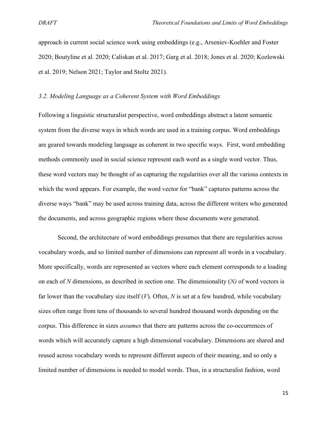approach in current social science work using embeddings (e.g., Arseniev-Koehler and Foster 2020; Boutyline et al. 2020; Caliskan et al. 2017; Garg et al. 2018; Jones et al. 2020; Kozlowski et al. 2019; Nelson 2021; Taylor and Stoltz 2021).

#### *3.2. Modeling Language as a Coherent System with Word Embeddings*

Following a linguistic structuralist perspective, word embeddings abstract a latent semantic system from the diverse ways in which words are used in a training corpus. Word embeddings are geared towards modeling language as coherent in two specific ways. First, word embedding methods commonly used in social science represent each word as a single word vector. Thus, these word vectors may be thought of as capturing the regularities over all the various contexts in which the word appears. For example, the word vector for "bank" captures patterns across the diverse ways "bank" may be used across training data, across the different writers who generated the documents, and across geographic regions where these documents were generated.

Second, the architecture of word embeddings presumes that there are regularities across vocabulary words, and so limited number of dimensions can represent all words in a vocabulary. More specifically, words are represented as vectors where each element corresponds to a loading on each of *N* dimensions, as described in section one. The dimensionality (*N)* of word vectors is far lower than the vocabulary size itself (*V*). Often, *N* is set at a few hundred, while vocabulary sizes often range from tens of thousands to several hundred thousand words depending on the corpus. This difference in sizes *assumes* that there are patterns across the co-occurrences of words which will accurately capture a high dimensional vocabulary. Dimensions are shared and reused across vocabulary words to represent different aspects of their meaning, and so only a limited number of dimensions is needed to model words. Thus, in a structuralist fashion, word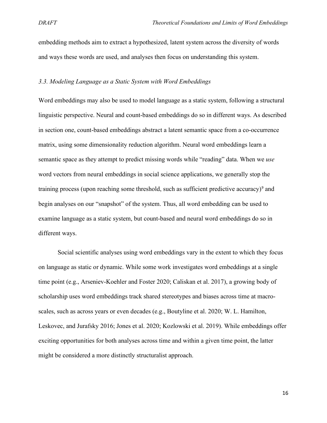embedding methods aim to extract a hypothesized, latent system across the diversity of words and ways these words are used, and analyses then focus on understanding this system.

#### *3.3. Modeling Language as a Static System with Word Embeddings*

Word embeddings may also be used to model language as a static system, following a structural linguistic perspective. Neural and count-based embeddings do so in different ways. As described in section one, count-based embeddings abstract a latent semantic space from a co-occurrence matrix, using some dimensionality reduction algorithm. Neural word embeddings learn a semantic space as they attempt to predict missing words while "reading" data. When we *use* word vectors from neural embeddings in social science applications, we generally stop the training process (upon reaching some threshold, such as sufficient predictive accuracy)<sup>[9](#page-40-8)</sup> and begin analyses on our "snapshot" of the system. Thus, all word embedding can be used to examine language as a static system, but count-based and neural word embeddings do so in different ways.

Social scientific analyses using word embeddings vary in the extent to which they focus on language as static or dynamic. While some work investigates word embeddings at a single time point (e.g., Arseniev-Koehler and Foster 2020; Caliskan et al. 2017), a growing body of scholarship uses word embeddings track shared stereotypes and biases across time at macroscales, such as across years or even decades (e.g., Boutyline et al. 2020; W. L. Hamilton, Leskovec, and Jurafsky 2016; Jones et al. 2020; Kozlowski et al. 2019). While embeddings offer exciting opportunities for both analyses across time and within a given time point, the latter might be considered a more distinctly structuralist approach.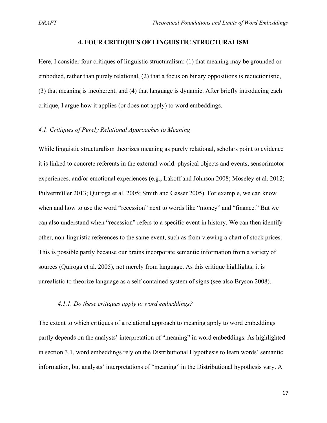#### **4. FOUR CRITIQUES OF LINGUISTIC STRUCTURALISM**

Here, I consider four critiques of linguistic structuralism: (1) that meaning may be grounded or embodied, rather than purely relational, (2) that a focus on binary oppositions is reductionistic, (3) that meaning is incoherent, and (4) that language is dynamic. After briefly introducing each critique, I argue how it applies (or does not apply) to word embeddings.

#### *4.1. Critiques of Purely Relational Approaches to Meaning*

While linguistic structuralism theorizes meaning as purely relational, scholars point to evidence it is linked to concrete referents in the external world: physical objects and events, sensorimotor experiences, and/or emotional experiences (e.g., Lakoff and Johnson 2008; Moseley et al. 2012; Pulvermüller 2013; Quiroga et al. 2005; Smith and Gasser 2005). For example, we can know when and how to use the word "recession" next to words like "money" and "finance." But we can also understand when "recession" refers to a specific event in history. We can then identify other, non-linguistic references to the same event, such as from viewing a chart of stock prices. This is possible partly because our brains incorporate semantic information from a variety of sources (Quiroga et al. 2005), not merely from language. As this critique highlights, it is unrealistic to theorize language as a self-contained system of signs (see also Bryson 2008).

#### *4.1.1. Do these critiques apply to word embeddings?*

The extent to which critiques of a relational approach to meaning apply to word embeddings partly depends on the analysts' interpretation of "meaning" in word embeddings. As highlighted in section 3.1, word embeddings rely on the Distributional Hypothesis to learn words' semantic information, but analysts' interpretations of "meaning" in the Distributional hypothesis vary. A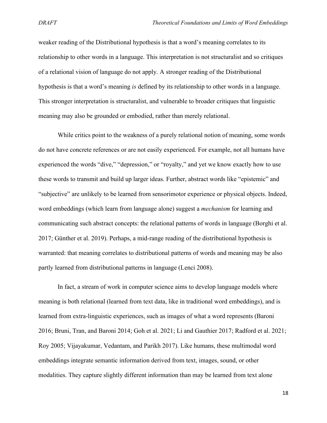weaker reading of the Distributional hypothesis is that a word's meaning correlates to its relationship to other words in a language. This interpretation is not structuralist and so critiques of a relational vision of language do not apply. A stronger reading of the Distributional hypothesis is that a word's meaning *is* defined by its relationship to other words in a language. This stronger interpretation is structuralist, and vulnerable to broader critiques that linguistic meaning may also be grounded or embodied, rather than merely relational.

While critics point to the weakness of a purely relational notion of meaning, some words do not have concrete references or are not easily experienced. For example, not all humans have experienced the words "dive," "depression," or "royalty," and yet we know exactly how to use these words to transmit and build up larger ideas. Further, abstract words like "epistemic" and "subjective" are unlikely to be learned from sensorimotor experience or physical objects. Indeed, word embeddings (which learn from language alone) suggest a *mechanism* for learning and communicating such abstract concepts: the relational patterns of words in language (Borghi et al. 2017; Günther et al. 2019). Perhaps, a mid-range reading of the distributional hypothesis is warranted: that meaning correlates to distributional patterns of words and meaning may be also partly learned from distributional patterns in language (Lenci 2008).

In fact, a stream of work in computer science aims to develop language models where meaning is both relational (learned from text data, like in traditional word embeddings), and is learned from extra-linguistic experiences, such as images of what a word represents (Baroni 2016; Bruni, Tran, and Baroni 2014; Goh et al. 2021; Li and Gauthier 2017; Radford et al. 2021; Roy 2005; Vijayakumar, Vedantam, and Parikh 2017). Like humans, these multimodal word embeddings integrate semantic information derived from text, images, sound, or other modalities. They capture slightly different information than may be learned from text alone

18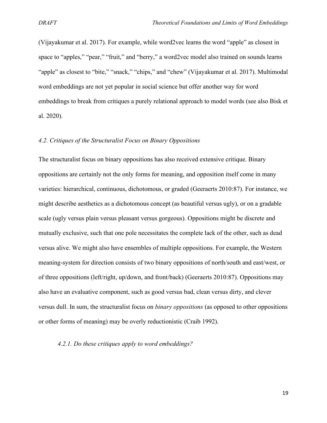(Vijayakumar et al. 2017). For example, while word2vec learns the word "apple" as closest in space to "apples," "pear," "fruit," and "berry," a word2vec model also trained on sounds learns "apple" as closest to "bite," "snack," "chips," and "chew" (Vijayakumar et al. 2017). Multimodal word embeddings are not yet popular in social science but offer another way for word embeddings to break from critiques a purely relational approach to model words (see also Bisk et al. 2020).

#### *4.2. Critiques of the Structuralist Focus on Binary Oppositions*

The structuralist focus on binary oppositions has also received extensive critique. Binary oppositions are certainly not the only forms for meaning, and opposition itself come in many varieties: hierarchical, continuous, dichotomous, or graded (Geeraerts 2010:87). For instance, we might describe aesthetics as a dichotomous concept (as beautiful versus ugly), or on a gradable scale (ugly versus plain versus pleasant versus gorgeous). Oppositions might be discrete and mutually exclusive, such that one pole necessitates the complete lack of the other, such as dead versus alive. We might also have ensembles of multiple oppositions. For example, the Western meaning-system for direction consists of two binary oppositions of north/south and east/west, or of three oppositions (left/right, up/down, and front/back) (Geeraerts 2010:87). Oppositions may also have an evaluative component, such as good versus bad, clean versus dirty, and clever versus dull. In sum, the structuralist focus on *binary oppositions* (as opposed to other oppositions or other forms of meaning) may be overly reductionistic (Craib 1992).

#### *4.2.1. Do these critiques apply to word embeddings?*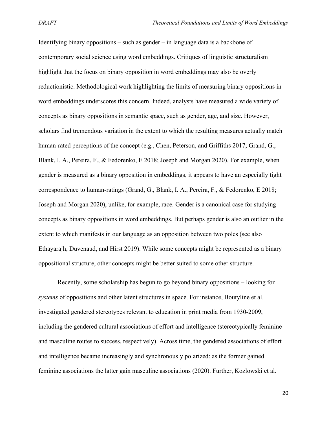Identifying binary oppositions – such as gender – in language data is a backbone of contemporary social science using word embeddings. Critiques of linguistic structuralism highlight that the focus on binary opposition in word embeddings may also be overly reductionistic. Methodological work highlighting the limits of measuring binary oppositions in word embeddings underscores this concern. Indeed, analysts have measured a wide variety of concepts as binary oppositions in semantic space, such as gender, age, and size. However, scholars find tremendous variation in the extent to which the resulting measures actually match human-rated perceptions of the concept (e.g., Chen, Peterson, and Griffiths 2017; Grand, G., Blank, I. A., Pereira, F., & Fedorenko, E 2018; Joseph and Morgan 2020). For example, when gender is measured as a binary opposition in embeddings, it appears to have an especially tight correspondence to human-ratings (Grand, G., Blank, I. A., Pereira, F., & Fedorenko, E 2018; Joseph and Morgan 2020), unlike, for example, race. Gender is a canonical case for studying concepts as binary oppositions in word embeddings. But perhaps gender is also an outlier in the extent to which manifests in our language as an opposition between two poles (see also Ethayarajh, Duvenaud, and Hirst 2019). While some concepts might be represented as a binary oppositional structure, other concepts might be better suited to some other structure.

Recently, some scholarship has begun to go beyond binary oppositions – looking for *systems* of oppositions and other latent structures in space. For instance, Boutyline et al. investigated gendered stereotypes relevant to education in print media from 1930-2009, including the gendered cultural associations of effort and intelligence (stereotypically feminine and masculine routes to success, respectively). Across time, the gendered associations of effort and intelligence became increasingly and synchronously polarized: as the former gained feminine associations the latter gain masculine associations (2020). Further, Kozlowski et al.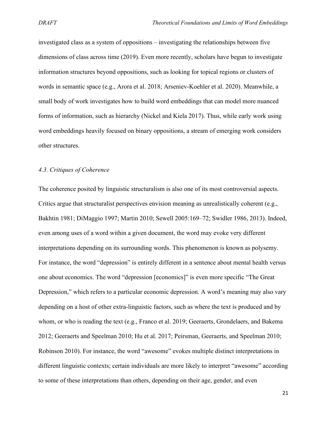investigated class as a system of oppositions – investigating the relationships between five dimensions of class across time (2019). Even more recently, scholars have begun to investigate information structures beyond oppositions, such as looking for topical regions or clusters of words in semantic space (e.g., Arora et al. 2018; Arseniev-Koehler et al. 2020). Meanwhile, a small body of work investigates how to build word embeddings that can model more nuanced forms of information, such as hierarchy (Nickel and Kiela 2017). Thus, while early work using word embeddings heavily focused on binary oppositions, a stream of emerging work considers other structures.

#### *4.3. Critiques of Coherence*

The coherence posited by linguistic structuralism is also one of its most controversial aspects. Critics argue that structuralist perspectives envision meaning as unrealistically coherent (e.g., Bakhtin 1981; DiMaggio 1997; Martin 2010; Sewell 2005:169–72; Swidler 1986, 2013). Indeed, even among uses of a word within a given document, the word may evoke very different interpretations depending on its surrounding words. This phenomenon is known as polysemy. For instance, the word "depression" is entirely different in a sentence about mental health versus one about economics. The word "depression [economics]" is even more specific "The Great Depression," which refers to a particular economic depression. A word's meaning may also vary depending on a host of other extra-linguistic factors, such as where the text is produced and by whom, or who is reading the text (e.g., Franco et al. 2019; Geeraerts, Grondelaers, and Bakema 2012; Geeraerts and Speelman 2010; Hu et al. 2017; Peirsman, Geeraerts, and Speelman 2010; Robinson 2010). For instance, the word "awesome" evokes multiple distinct interpretations in different linguistic contexts; certain individuals are more likely to interpret "awesome" according to some of these interpretations than others, depending on their age, gender, and even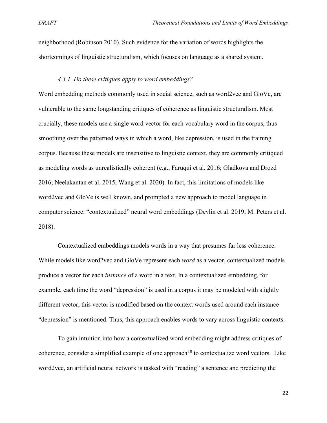neighborhood (Robinson 2010). Such evidence for the variation of words highlights the shortcomings of linguistic structuralism, which focuses on language as a shared system.

#### *4.3.1. Do these critiques apply to word embeddings?*

Word embedding methods commonly used in social science, such as word2vec and GloVe, are vulnerable to the same longstanding critiques of coherence as linguistic structuralism. Most crucially, these models use a single word vector for each vocabulary word in the corpus, thus smoothing over the patterned ways in which a word, like depression, is used in the training corpus. Because these models are insensitive to linguistic context, they are commonly critiqued as modeling words as unrealistically coherent (e.g., Faruqui et al. 2016; Gladkova and Drozd 2016; Neelakantan et al. 2015; Wang et al. 2020). In fact, this limitations of models like word2vec and GloVe is well known, and prompted a new approach to model language in computer science: "contextualized" neural word embeddings (Devlin et al. 2019; M. Peters et al. 2018).

Contextualized embeddings models words in a way that presumes far less coherence. While models like word2vec and GloVe represent each *word* as a vector, contextualized models produce a vector for each *instance* of a word in a text. In a contextualized embedding, for example, each time the word "depression" is used in a corpus it may be modeled with slightly different vector; this vector is modified based on the context words used around each instance "depression" is mentioned. Thus, this approach enables words to vary across linguistic contexts.

To gain intuition into how a contextualized word embedding might address critiques of coherence, consider a simplified example of one approach<sup>[10](#page-40-9)</sup> to contextualize word vectors. Like word2vec, an artificial neural network is tasked with "reading" a sentence and predicting the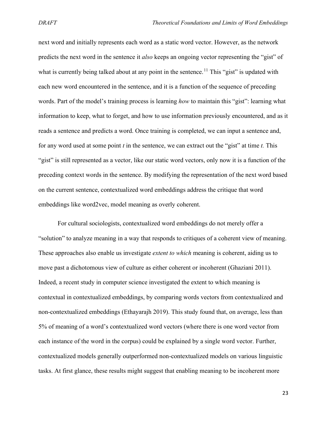next word and initially represents each word as a static word vector. However, as the network predicts the next word in the sentence it *also* keeps an ongoing vector representing the "gist" of what is currently being talked about at any point in the sentence.<sup>[11](#page-40-10)</sup> This "gist" is updated with each new word encountered in the sentence, and it is a function of the sequence of preceding words. Part of the model's training process is learning *how* to maintain this "gist": learning what information to keep, what to forget, and how to use information previously encountered, and as it reads a sentence and predicts a word. Once training is completed, we can input a sentence and, for any word used at some point *t* in the sentence, we can extract out the "gist" at time *t.* This "gist" is still represented as a vector, like our static word vectors, only now it is a function of the preceding context words in the sentence. By modifying the representation of the next word based on the current sentence, contextualized word embeddings address the critique that word embeddings like word2vec, model meaning as overly coherent.

For cultural sociologists, contextualized word embeddings do not merely offer a "solution" to analyze meaning in a way that responds to critiques of a coherent view of meaning. These approaches also enable us investigate *extent to which* meaning is coherent, aiding us to move past a dichotomous view of culture as either coherent or incoherent (Ghaziani 2011). Indeed, a recent study in computer science investigated the extent to which meaning is contextual in contextualized embeddings, by comparing words vectors from contextualized and non-contextualized embeddings (Ethayarajh 2019). This study found that, on average, less than 5% of meaning of a word's contextualized word vectors (where there is one word vector from each instance of the word in the corpus) could be explained by a single word vector. Further, contextualized models generally outperformed non-contextualized models on various linguistic tasks. At first glance, these results might suggest that enabling meaning to be incoherent more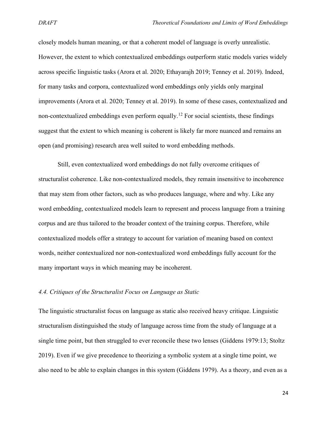closely models human meaning, or that a coherent model of language is overly unrealistic. However, the extent to which contextualized embeddings outperform static models varies widely across specific linguistic tasks (Arora et al. 2020; Ethayarajh 2019; Tenney et al. 2019). Indeed, for many tasks and corpora, contextualized word embeddings only yields only marginal improvements (Arora et al. 2020; Tenney et al. 2019). In some of these cases, contextualized and non-contextualized embeddings even perform equally.<sup>[12](#page-40-11)</sup> For social scientists, these findings suggest that the extent to which meaning is coherent is likely far more nuanced and remains an open (and promising) research area well suited to word embedding methods.

Still, even contextualized word embeddings do not fully overcome critiques of structuralist coherence. Like non-contextualized models, they remain insensitive to incoherence that may stem from other factors, such as who produces language, where and why. Like any word embedding, contextualized models learn to represent and process language from a training corpus and are thus tailored to the broader context of the training corpus. Therefore, while contextualized models offer a strategy to account for variation of meaning based on context words, neither contextualized nor non-contextualized word embeddings fully account for the many important ways in which meaning may be incoherent.

#### *4.4. Critiques of the Structuralist Focus on Language as Static*

The linguistic structuralist focus on language as static also received heavy critique. Linguistic structuralism distinguished the study of language across time from the study of language at a single time point, but then struggled to ever reconcile these two lenses (Giddens 1979:13; Stoltz 2019). Even if we give precedence to theorizing a symbolic system at a single time point, we also need to be able to explain changes in this system (Giddens 1979). As a theory, and even as a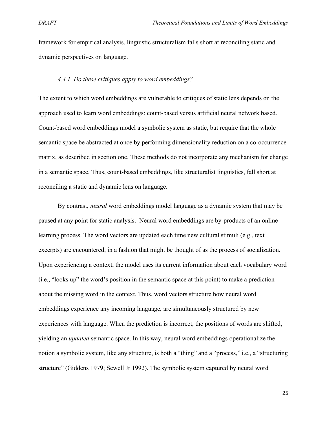framework for empirical analysis, linguistic structuralism falls short at reconciling static and dynamic perspectives on language.

#### *4.4.1. Do these critiques apply to word embeddings?*

The extent to which word embeddings are vulnerable to critiques of static lens depends on the approach used to learn word embeddings: count-based versus artificial neural network based. Count-based word embeddings model a symbolic system as static, but require that the whole semantic space be abstracted at once by performing dimensionality reduction on a co-occurrence matrix, as described in section one. These methods do not incorporate any mechanism for change in a semantic space. Thus, count-based embeddings, like structuralist linguistics, fall short at reconciling a static and dynamic lens on language.

By contrast, *neural* word embeddings model language as a dynamic system that may be paused at any point for static analysis. Neural word embeddings are by-products of an online learning process. The word vectors are updated each time new cultural stimuli (e.g., text excerpts) are encountered, in a fashion that might be thought of as the process of socialization. Upon experiencing a context, the model uses its current information about each vocabulary word (i.e., "looks up" the word's position in the semantic space at this point) to make a prediction about the missing word in the context. Thus, word vectors structure how neural word embeddings experience any incoming language, are simultaneously structured by new experiences with language. When the prediction is incorrect, the positions of words are shifted, yielding an *updated* semantic space. In this way, neural word embeddings operationalize the notion a symbolic system, like any structure, is both a "thing" and a "process," i.e., a "structuring structure" (Giddens 1979; Sewell Jr 1992). The symbolic system captured by neural word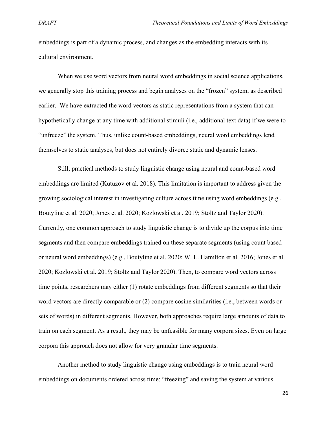embeddings is part of a dynamic process, and changes as the embedding interacts with its cultural environment.

When we use word vectors from neural word embeddings in social science applications, we generally stop this training process and begin analyses on the "frozen" system, as described earlier. We have extracted the word vectors as static representations from a system that can hypothetically change at any time with additional stimuli (i.e., additional text data) if we were to "unfreeze" the system. Thus, unlike count-based embeddings, neural word embeddings lend themselves to static analyses, but does not entirely divorce static and dynamic lenses.

Still, practical methods to study linguistic change using neural and count-based word embeddings are limited (Kutuzov et al. 2018). This limitation is important to address given the growing sociological interest in investigating culture across time using word embeddings (e.g., Boutyline et al. 2020; Jones et al. 2020; Kozlowski et al. 2019; Stoltz and Taylor 2020). Currently, one common approach to study linguistic change is to divide up the corpus into time segments and then compare embeddings trained on these separate segments (using count based or neural word embeddings) (e.g., Boutyline et al. 2020; W. L. Hamilton et al. 2016; Jones et al. 2020; Kozlowski et al. 2019; Stoltz and Taylor 2020). Then, to compare word vectors across time points, researchers may either (1) rotate embeddings from different segments so that their word vectors are directly comparable or (2) compare cosine similarities (i.e., between words or sets of words) in different segments. However, both approaches require large amounts of data to train on each segment. As a result, they may be unfeasible for many corpora sizes. Even on large corpora this approach does not allow for very granular time segments.

Another method to study linguistic change using embeddings is to train neural word embeddings on documents ordered across time: "freezing" and saving the system at various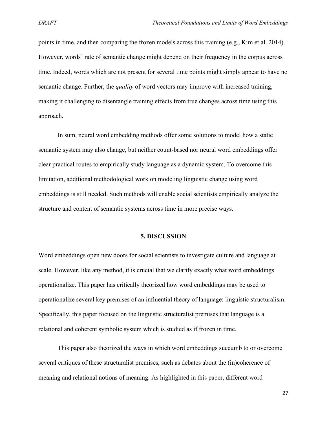points in time, and then comparing the frozen models across this training (e.g., Kim et al. 2014). However, words' rate of semantic change might depend on their frequency in the corpus across time. Indeed, words which are not present for several time points might simply appear to have no semantic change. Further, the *quality* of word vectors may improve with increased training, making it challenging to disentangle training effects from true changes across time using this approach.

In sum, neural word embedding methods offer some solutions to model how a static semantic system may also change, but neither count-based nor neural word embeddings offer clear practical routes to empirically study language as a dynamic system. To overcome this limitation, additional methodological work on modeling linguistic change using word embeddings is still needed. Such methods will enable social scientists empirically analyze the structure and content of semantic systems across time in more precise ways.

#### **5. DISCUSSION**

Word embeddings open new doors for social scientists to investigate culture and language at scale. However, like any method, it is crucial that we clarify exactly what word embeddings operationalize. This paper has critically theorized how word embeddings may be used to operationalize several key premises of an influential theory of language: linguistic structuralism. Specifically, this paper focused on the linguistic structuralist premises that language is a relational and coherent symbolic system which is studied as if frozen in time.

This paper also theorized the ways in which word embeddings succumb to or overcome several critiques of these structuralist premises, such as debates about the (in)coherence of meaning and relational notions of meaning. As highlighted in this paper, different word

27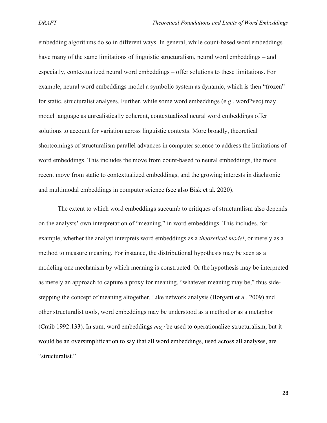embedding algorithms do so in different ways. In general, while count-based word embeddings have many of the same limitations of linguistic structuralism, neural word embeddings – and especially, contextualized neural word embeddings – offer solutions to these limitations. For example, neural word embeddings model a symbolic system as dynamic, which is then "frozen" for static, structuralist analyses. Further, while some word embeddings (e.g., word2vec) may model language as unrealistically coherent, contextualized neural word embeddings offer solutions to account for variation across linguistic contexts. More broadly, theoretical shortcomings of structuralism parallel advances in computer science to address the limitations of word embeddings. This includes the move from count-based to neural embeddings, the more recent move from static to contextualized embeddings, and the growing interests in diachronic and multimodal embeddings in computer science (see also Bisk et al. 2020).

The extent to which word embeddings succumb to critiques of structuralism also depends on the analysts' own interpretation of "meaning," in word embeddings. This includes, for example, whether the analyst interprets word embeddings as a *theoretical model*, or merely as a method to measure meaning. For instance, the distributional hypothesis may be seen as a modeling one mechanism by which meaning is constructed. Or the hypothesis may be interpreted as merely an approach to capture a proxy for meaning, "whatever meaning may be," thus sidestepping the concept of meaning altogether. Like network analysis (Borgatti et al. 2009) and other structuralist tools, word embeddings may be understood as a method or as a metaphor (Craib 1992:133). In sum, word embeddings *may* be used to operationalize structuralism, but it would be an oversimplification to say that all word embeddings, used across all analyses, are "structuralist."

28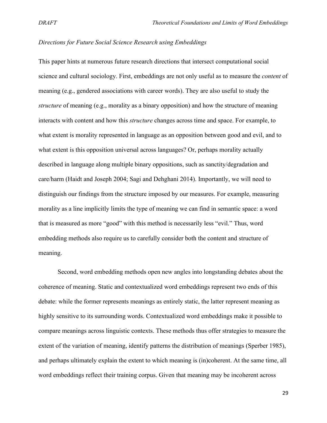#### *Directions for Future Social Science Research using Embeddings*

This paper hints at numerous future research directions that intersect computational social science and cultural sociology. First, embeddings are not only useful as to measure the *content* of meaning (e.g., gendered associations with career words). They are also useful to study the *structure* of meaning (e.g., morality as a binary opposition) and how the structure of meaning interacts with content and how this *structure* changes across time and space. For example, to what extent is morality represented in language as an opposition between good and evil, and to what extent is this opposition universal across languages? Or, perhaps morality actually described in language along multiple binary oppositions, such as sanctity/degradation and care/harm (Haidt and Joseph 2004; Sagi and Dehghani 2014). Importantly, we will need to distinguish our findings from the structure imposed by our measures. For example, measuring morality as a line implicitly limits the type of meaning we can find in semantic space: a word that is measured as more "good" with this method is necessarily less "evil." Thus, word embedding methods also require us to carefully consider both the content and structure of meaning.

Second, word embedding methods open new angles into longstanding debates about the coherence of meaning. Static and contextualized word embeddings represent two ends of this debate: while the former represents meanings as entirely static, the latter represent meaning as highly sensitive to its surrounding words. Contextualized word embeddings make it possible to compare meanings across linguistic contexts. These methods thus offer strategies to measure the extent of the variation of meaning, identify patterns the distribution of meanings (Sperber 1985), and perhaps ultimately explain the extent to which meaning is (in)coherent. At the same time, all word embeddings reflect their training corpus. Given that meaning may be incoherent across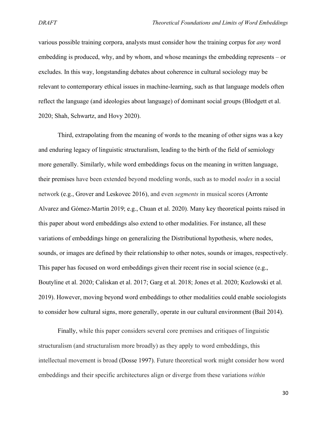various possible training corpora, analysts must consider how the training corpus for *any* word embedding is produced, why, and by whom, and whose meanings the embedding represents – or excludes. In this way, longstanding debates about coherence in cultural sociology may be relevant to contemporary ethical issues in machine-learning, such as that language models often reflect the language (and ideologies about language) of dominant social groups (Blodgett et al. 2020; Shah, Schwartz, and Hovy 2020).

Third, extrapolating from the meaning of words to the meaning of other signs was a key and enduring legacy of linguistic structuralism, leading to the birth of the field of semiology more generally. Similarly, while word embeddings focus on the meaning in written language, their premises have been extended beyond modeling words, such as to model *nodes* in a social network (e.g., Grover and Leskovec 2016), and even *segments* in musical scores (Arronte Alvarez and Gómez-Martin 2019; e.g., Chuan et al. 2020). Many key theoretical points raised in this paper about word embeddings also extend to other modalities. For instance, all these variations of embeddings hinge on generalizing the Distributional hypothesis, where nodes, sounds, or images are defined by their relationship to other notes, sounds or images, respectively. This paper has focused on word embeddings given their recent rise in social science (e.g., Boutyline et al. 2020; Caliskan et al. 2017; Garg et al. 2018; Jones et al. 2020; Kozlowski et al. 2019). However, moving beyond word embeddings to other modalities could enable sociologists to consider how cultural signs, more generally, operate in our cultural environment (Bail 2014).

Finally, while this paper considers several core premises and critiques of linguistic structuralism (and structuralism more broadly) as they apply to word embeddings, this intellectual movement is broad (Dosse 1997). Future theoretical work might consider how word embeddings and their specific architectures align or diverge from these variations *within*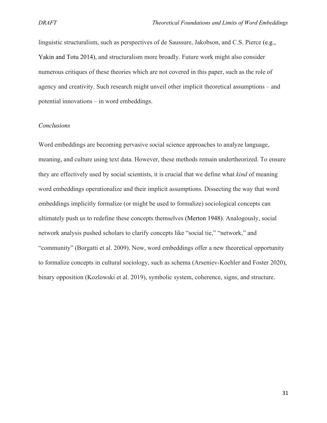linguistic structuralism, such as perspectives of de Saussure, Jakobson, and C.S. Pierce (e.g., Yakin and Totu 2014), and structuralism more broadly. Future work might also consider numerous critiques of these theories which are not covered in this paper, such as the role of agency and creativity. Such research might unveil other implicit theoretical assumptions – and potential innovations – in word embeddings.

#### *Conclusions*

Word embeddings are becoming pervasive social science approaches to analyze language, meaning, and culture using text data. However, these methods remain undertheorized. To ensure they are effectively used by social scientists, it is crucial that we define what *kind* of meaning word embeddings operationalize and their implicit assumptions. Dissecting the way that word embeddings implicitly formalize (or might be used to formalize) sociological concepts can ultimately push us to redefine these concepts themselves (Merton 1948). Analogously, social network analysis pushed scholars to clarify concepts like "social tie," "network," and "community" (Borgatti et al. 2009). Now, word embeddings offer a new theoretical opportunity to formalize concepts in cultural sociology, such as schema (Arseniev-Koehler and Foster 2020), binary opposition (Kozlowski et al. 2019), symbolic system, coherence, signs, and structure.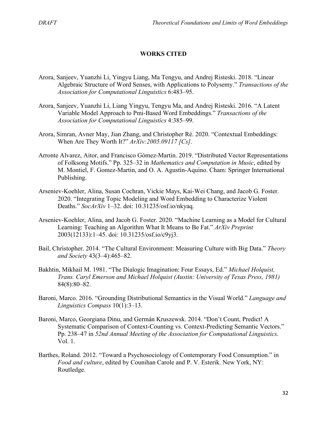#### **WORKS CITED**

- Arora, Sanjeev, Yuanzhi Li, Yingyu Liang, Ma Tengyu, and Andrej Risteski. 2018. "Linear Algebraic Structure of Word Senses, with Applications to Polysemy." *Transactions of the Association for Computational Linguistics* 6:483–95.
- Arora, Sanjeev, Yuanzhi Li, Liang Yingyu, Tengyu Ma, and Andrej Risteski. 2016. "A Latent Variable Model Approach to Pmi-Based Word Embeddings." *Transactions of the Association for Computational Linguistics* 4:385–99.
- Arora, Simran, Avner May, Jian Zhang, and Christopher Ré. 2020. "Contextual Embeddings: When Are They Worth It?" *ArXiv:2005.09117 [Cs]*.
- Arronte Alvarez, Aitor, and Francisco Gómez-Martin. 2019. "Distributed Vector Representations of Folksong Motifs." Pp. 325–32 in *Mathematics and Computation in Music*, edited by M. Montiel, F. Gomez-Martin, and O. A. Agustín-Aquino. Cham: Springer International Publishing.
- Arseniev-Koehler, Alina, Susan Cochran, Vickie Mays, Kai-Wei Chang, and Jacob G. Foster. 2020. "Integrating Topic Modeling and Word Embedding to Characterize Violent Deaths." *SocArXiv* 1–32. doi: 10.31235/osf.io/nkyaq.
- Arseniev-Koehler, Alina, and Jacob G. Foster. 2020. "Machine Learning as a Model for Cultural Learning: Teaching an Algorithm What It Means to Be Fat." *ArXiv Preprint* 2003(12133):1–45. doi: 10.31235/osf.io/c9yj3.
- Bail, Christopher. 2014. "The Cultural Environment: Measuring Culture with Big Data." *Theory and Society* 43(3–4):465–82.
- Bakhtin, Mikhail M. 1981. "The Dialogic Imagination: Four Essays, Ed." *Michael Holquist, Trans. Caryl Emerson and Michael Holquist (Austin: University of Texas Press, 1981)* 84(8):80–82.
- Baroni, Marco. 2016. "Grounding Distributional Semantics in the Visual World." *Language and Linguistics Compass* 10(1):3–13.
- Baroni, Marco, Georgiana Dinu, and Germán Kruszewsk. 2014. "Don't Count, Predict! A Systematic Comparison of Context-Counting vs. Context-Predicting Semantic Vectors." Pp. 238–47 in *52nd Annual Meeting of the Association for Computational Linguistics*. Vol. 1.
- Barthes, Roland. 2012. "Toward a Psychosociology of Contemporary Food Consumption." in *Food and culture*, edited by Counihan Carole and P. V. Esterik. New York, NY: Routledge.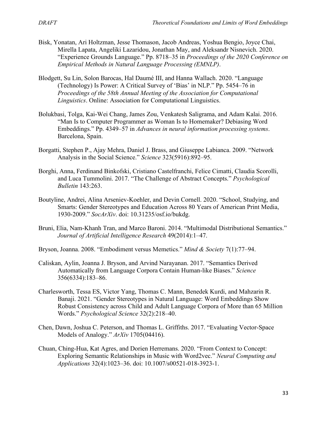- Bisk, Yonatan, Ari Holtzman, Jesse Thomason, Jacob Andreas, Yoshua Bengio, Joyce Chai, Mirella Lapata, Angeliki Lazaridou, Jonathan May, and Aleksandr Nisnevich. 2020. "Experience Grounds Language." Pp. 8718–35 in *Proceedings of the 2020 Conference on Empirical Methods in Natural Language Processing (EMNLP)*.
- Blodgett, Su Lin, Solon Barocas, Hal Daumé III, and Hanna Wallach. 2020. "Language (Technology) Is Power: A Critical Survey of 'Bias' in NLP." Pp. 5454–76 in *Proceedings of the 58th Annual Meeting of the Association for Computational Linguistics*. Online: Association for Computational Linguistics.
- Bolukbasi, Tolga, Kai-Wei Chang, James Zou, Venkatesh Saligrama, and Adam Kalai. 2016. "Man Is to Computer Programmer as Woman Is to Homemaker? Debiasing Word Embeddings." Pp. 4349–57 in *Advances in neural information processing systems*. Barcelona, Spain.
- Borgatti, Stephen P., Ajay Mehra, Daniel J. Brass, and Giuseppe Labianca. 2009. "Network Analysis in the Social Science." *Science* 323(5916):892–95.
- Borghi, Anna, Ferdinand Binkofski, Cristiano Castelfranchi, Felice Cimatti, Claudia Scorolli, and Luca Tummolini. 2017. "The Challenge of Abstract Concepts." *Psychological Bulletin* 143:263.
- Boutyline, Andrei, Alina Arseniev-Koehler, and Devin Cornell. 2020. "School, Studying, and Smarts: Gender Stereotypes and Education Across 80 Years of American Print Media, 1930-2009." *SocArXiv*. doi: 10.31235/osf.io/bukdg.
- Bruni, Elia, Nam-Khanh Tran, and Marco Baroni. 2014. "Multimodal Distributional Semantics." *Journal of Artificial Intelligence Research* 49(2014):1–47.
- Bryson, Joanna. 2008. "Embodiment versus Memetics." *Mind & Society* 7(1):77–94.
- Caliskan, Aylin, Joanna J. Bryson, and Arvind Narayanan. 2017. "Semantics Derived Automatically from Language Corpora Contain Human-like Biases." *Science* 356(6334):183–86.
- Charlesworth, Tessa ES, Victor Yang, Thomas C. Mann, Benedek Kurdi, and Mahzarin R. Banaji. 2021. "Gender Stereotypes in Natural Language: Word Embeddings Show Robust Consistency across Child and Adult Language Corpora of More than 65 Million Words." *Psychological Science* 32(2):218–40.
- Chen, Dawn, Joshua C. Peterson, and Thomas L. Griffiths. 2017. "Evaluating Vector-Space Models of Analogy." *ArXiv* 1705(04416).
- Chuan, Ching-Hua, Kat Agres, and Dorien Herremans. 2020. "From Context to Concept: Exploring Semantic Relationships in Music with Word2vec." *Neural Computing and Applications* 32(4):1023–36. doi: 10.1007/s00521-018-3923-1.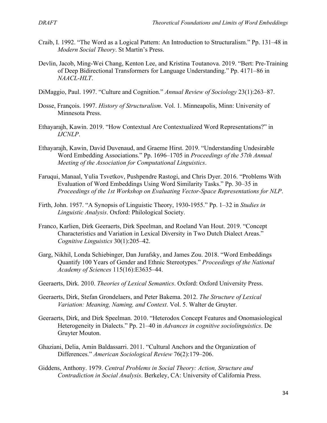- Craib, I. 1992. "The Word as a Logical Pattern: An Introduction to Structuralism." Pp. 131–48 in *Modern Social Theory*. St Martin's Press.
- Devlin, Jacob, Ming-Wei Chang, Kenton Lee, and Kristina Toutanova. 2019. "Bert: Pre-Training of Deep Bidirectional Transformers for Language Understanding." Pp. 4171–86 in *NAACL-HLT*.
- DiMaggio, Paul. 1997. "Culture and Cognition." *Annual Review of Sociology* 23(1):263–87.
- Dosse, François. 1997. *History of Structuralism*. Vol. 1. Minneapolis, Minn: University of Minnesota Press.
- Ethayarajh, Kawin. 2019. "How Contextual Are Contextualized Word Representations?" in *IJCNLP*.
- Ethayarajh, Kawin, David Duvenaud, and Graeme Hirst. 2019. "Understanding Undesirable Word Embedding Associations." Pp. 1696–1705 in *Proceedings of the 57th Annual Meeting of the Association for Computational Linguistics*.
- Faruqui, Manaal, Yulia Tsvetkov, Pushpendre Rastogi, and Chris Dyer. 2016. "Problems With Evaluation of Word Embeddings Using Word Similarity Tasks." Pp. 30–35 in *Proceedings of the 1st Workshop on Evaluating Vector-Space Representations for NLP*.
- Firth, John. 1957. "A Synopsis of Linguistic Theory, 1930-1955." Pp. 1–32 in *Studies in Linguistic Analysis*. Oxford: Philological Society.
- Franco, Karlien, Dirk Geeraerts, Dirk Speelman, and Roeland Van Hout. 2019. "Concept Characteristics and Variation in Lexical Diversity in Two Dutch Dialect Areas." *Cognitive Linguistics* 30(1):205–42.
- Garg, Nikhil, Londa Schiebinger, Dan Jurafsky, and James Zou. 2018. "Word Embeddings Quantify 100 Years of Gender and Ethnic Stereotypes." *Proceedings of the National Academy of Sciences* 115(16):E3635–44.
- Geeraerts, Dirk. 2010. *Theories of Lexical Semantics*. Oxford: Oxford University Press.
- Geeraerts, Dirk, Stefan Grondelaers, and Peter Bakema. 2012. *The Structure of Lexical Variation: Meaning, Naming, and Context*. Vol. 5. Walter de Gruyter.
- Geeraerts, Dirk, and Dirk Speelman. 2010. "Heterodox Concept Features and Onomasiological Heterogeneity in Dialects." Pp. 21–40 in *Advances in cognitive sociolinguistics*. De Gruyter Mouton.
- Ghaziani, Delia, Amin Baldassarri. 2011. "Cultural Anchors and the Organization of Differences." *American Sociological Review* 76(2):179–206.
- Giddens, Anthony. 1979. *Central Problems in Social Theory: Action, Structure and Contradiction in Social Analysis*. Berkeley, CA: University of California Press.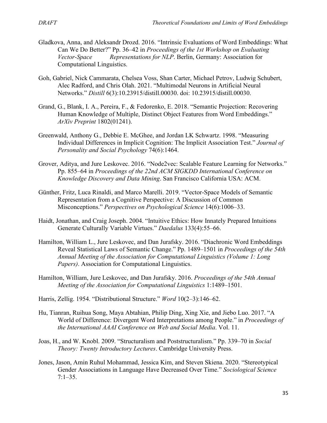- Gladkova, Anna, and Aleksandr Drozd. 2016. "Intrinsic Evaluations of Word Embeddings: What Can We Do Better?" Pp. 36–42 in *Proceedings of the 1st Workshop on Evaluating Vector-Space Representations for NLP*. Berlin, Germany: Association for Computational Linguistics.
- Goh, Gabriel, Nick Cammarata, Chelsea Voss, Shan Carter, Michael Petrov, Ludwig Schubert, Alec Radford, and Chris Olah. 2021. "Multimodal Neurons in Artificial Neural Networks." *Distill* 6(3):10.23915/distill.00030. doi: 10.23915/distill.00030.
- Grand, G., Blank, I. A., Pereira, F., & Fedorenko, E. 2018. "Semantic Projection: Recovering Human Knowledge of Multiple, Distinct Object Features from Word Embeddings." *ArXiv Preprint* 1802(01241).
- Greenwald, Anthony G., Debbie E. McGhee, and Jordan LK Schwartz. 1998. "Measuring Individual Differences in Implicit Cognition: The Implicit Association Test." *Journal of Personality and Social Psychology* 74(6):1464.
- Grover, Aditya, and Jure Leskovec. 2016. "Node2vec: Scalable Feature Learning for Networks." Pp. 855–64 in *Proceedings of the 22nd ACM SIGKDD International Conference on Knowledge Discovery and Data Mining*. San Francisco California USA: ACM.
- Günther, Fritz, Luca Rinaldi, and Marco Marelli. 2019. "Vector-Space Models of Semantic Representation from a Cognitive Perspective: A Discussion of Common Misconceptions." *Perspectives on Psychological Science* 14(6):1006–33.
- Haidt, Jonathan, and Craig Joseph. 2004. "Intuitive Ethics: How Innately Prepared Intuitions Generate Culturally Variable Virtues." *Daedalus* 133(4):55–66.
- Hamilton, William L., Jure Leskovec, and Dan Jurafsky. 2016. "Diachronic Word Embeddings Reveal Statistical Laws of Semantic Change." Pp. 1489–1501 in *Proceedings of the 54th Annual Meeting of the Association for Computational Linguistics (Volume 1: Long Papers)*. Association for Computational Linguistics.
- Hamilton, William, Jure Leskovec, and Dan Jurafsky. 2016. *Proceedings of the 54th Annual Meeting of the Association for Computational Linguistics* 1:1489–1501.
- Harris, Zellig. 1954. "Distributional Structure." *Word* 10(2–3):146–62.
- Hu, Tianran, Ruihua Song, Maya Abtahian, Philip Ding, Xing Xie, and Jiebo Luo. 2017. "A World of Difference: Divergent Word Interpretations among People." in *Proceedings of the International AAAI Conference on Web and Social Media*. Vol. 11.
- Joas, H., and W. Knobl. 2009. "Structuralism and Poststructuralism." Pp. 339–70 in *Social Theory: Twenty Introductory Lectures*. Cambridge University Press.
- Jones, Jason, Amin Ruhul Mohammad, Jessica Kim, and Steven Skiena. 2020. "Stereotypical Gender Associations in Language Have Decreased Over Time." *Sociological Science*  $7:1-35.$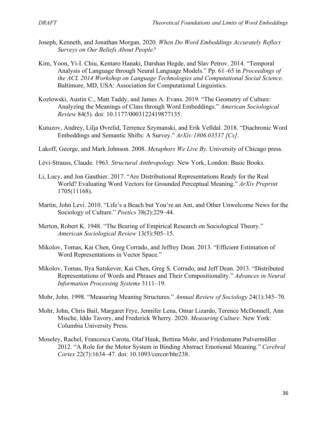- Joseph, Kenneth, and Jonathan Morgan. 2020. *When Do Word Embeddings Accurately Reflect Surveys on Our Beliefs About People?*
- Kim, Yoon, Yi-I. Chiu, Kentaro Hanaki, Darshan Hegde, and Slav Petrov. 2014. "Temporal Analysis of Language through Neural Language Models." Pp. 61–65 in *Proceedings of the ACL 2014 Workshop on Language Technologies and Computational Social Science*. Baltimore, MD, USA: Association for Computational Linguistics.
- Kozlowski, Austin C., Matt Taddy, and James A. Evans. 2019. "The Geometry of Culture: Analyzing the Meanings of Class through Word Embeddings." *American Sociological Review* 84(5). doi: 10.1177/0003122419877135.
- Kutuzov, Andrey, Lilja Øvrelid, Terrence Szymanski, and Erik Velldal. 2018. "Diachronic Word Embeddings and Semantic Shifts: A Survey." *ArXiv:1806.03537 [Cs]*.
- Lakoff, George, and Mark Johnson. 2008. *Metaphors We Live By*. University of Chicago press.
- Lévi-Strauss, Claude. 1963. *Structural Anthropology*. New York, London: Basic Books.
- Li, Lucy, and Jon Gauthier. 2017. "Are Distributional Representations Ready for the Real World? Evaluating Word Vectors for Grounded Perceptual Meaning." *ArXiv Preprint* 1705(11168).
- Martin, John Levi. 2010. "Life's a Beach but You're an Ant, and Other Unwelcome News for the Sociology of Culture." *Poetics* 38(2):229–44.
- Merton, Robert K. 1948. "The Bearing of Empirical Research on Sociological Theory." *American Sociological Review* 13(5):505–15.
- Mikolov, Tomas, Kai Chen, Greg Corrado, and Jeffrey Dean. 2013. "Efficient Estimation of Word Representations in Vector Space."
- Mikolov, Tomas, Ilya Sutskever, Kai Chen, Greg S. Corrado, and Jeff Dean. 2013. "Distributed Representations of Words and Phrases and Their Compositionality." *Advances in Neural Information Processing Systems* 3111–19.
- Mohr, John. 1998. "Measuring Meaning Structures." *Annual Review of Sociology* 24(1):345–70.
- Mohr, John, Chris Bail, Margaret Frye, Jennifer Lena, Omar Lizardo, Terence McDonnell, Ann Mische, Iddo Tavory, and Frederick Wherry. 2020. *Measuring Culture*. New York: Columbia University Press.
- Moseley, Rachel, Francesca Carota, Olaf Hauk, Bettina Mohr, and Friedemann Pulvermüller. 2012. "A Role for the Motor System in Binding Abstract Emotional Meaning." *Cerebral Cortex* 22(7):1634–47. doi: 10.1093/cercor/bhr238.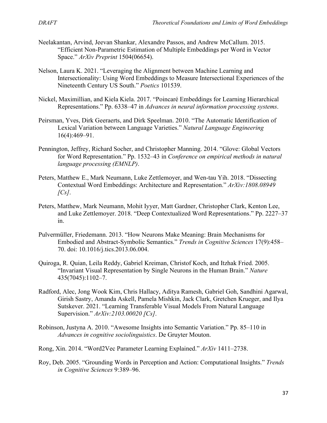- Neelakantan, Arvind, Jeevan Shankar, Alexandre Passos, and Andrew McCallum. 2015. "Efficient Non-Parametric Estimation of Multiple Embeddings per Word in Vector Space." *ArXiv Preprint* 1504(06654).
- Nelson, Laura K. 2021. "Leveraging the Alignment between Machine Learning and Intersectionality: Using Word Embeddings to Measure Intersectional Experiences of the Nineteenth Century US South." *Poetics* 101539.
- Nickel, Maximillian, and Kiela Kiela. 2017. "Poincaré Embeddings for Learning Hierarchical Representations." Pp. 6338–47 in *Advances in neural information processing systems*.
- Peirsman, Yves, Dirk Geeraerts, and Dirk Speelman. 2010. "The Automatic Identification of Lexical Variation between Language Varieties." *Natural Language Engineering* 16(4):469–91.
- Pennington, Jeffrey, Richard Socher, and Christopher Manning. 2014. "Glove: Global Vectors for Word Representation." Pp. 1532–43 in *Conference on empirical methods in natural language processing (EMNLP)*.
- Peters, Matthew E., Mark Neumann, Luke Zettlemoyer, and Wen-tau Yih. 2018. "Dissecting Contextual Word Embeddings: Architecture and Representation." *ArXiv:1808.08949 [Cs]*.
- Peters, Matthew, Mark Neumann, Mohit Iyyer, Matt Gardner, Christopher Clark, Kenton Lee, and Luke Zettlemoyer. 2018. "Deep Contextualized Word Representations." Pp. 2227–37 in.
- Pulvermüller, Friedemann. 2013. "How Neurons Make Meaning: Brain Mechanisms for Embodied and Abstract-Symbolic Semantics." *Trends in Cognitive Sciences* 17(9):458– 70. doi: 10.1016/j.tics.2013.06.004.
- Quiroga, R. Quian, Leila Reddy, Gabriel Kreiman, Christof Koch, and Itzhak Fried. 2005. "Invariant Visual Representation by Single Neurons in the Human Brain." *Nature* 435(7045):1102–7.
- Radford, Alec, Jong Wook Kim, Chris Hallacy, Aditya Ramesh, Gabriel Goh, Sandhini Agarwal, Girish Sastry, Amanda Askell, Pamela Mishkin, Jack Clark, Gretchen Krueger, and Ilya Sutskever. 2021. "Learning Transferable Visual Models From Natural Language Supervision." *ArXiv:2103.00020 [Cs]*.
- Robinson, Justyna A. 2010. "Awesome Insights into Semantic Variation." Pp. 85–110 in *Advances in cognitive sociolinguistics*. De Gruyter Mouton.
- Rong, Xin. 2014. "Word2Vec Parameter Learning Explained." *ArXiv* 1411–2738.
- Roy, Deb. 2005. "Grounding Words in Perception and Action: Computational Insights." *Trends in Cognitive Sciences* 9:389–96.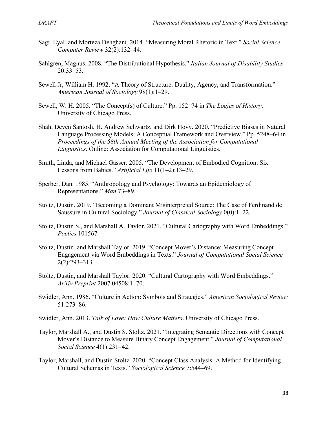- Sagi, Eyal, and Morteza Dehghani. 2014. "Measuring Moral Rhetoric in Text." *Social Science Computer Review* 32(2):132–44.
- Sahlgren, Magnus. 2008. "The Distributional Hypothesis." *Italian Journal of Disability Studies* 20:33–53.
- Sewell Jr, William H. 1992. "A Theory of Structure: Duality, Agency, and Transformation." *American Journal of Sociology* 98(1):1–29.
- Sewell, W. H. 2005. "The Concept(s) of Culture." Pp. 152–74 in *The Logics of History*. University of Chicago Press.
- Shah, Deven Santosh, H. Andrew Schwartz, and Dirk Hovy. 2020. "Predictive Biases in Natural Language Processing Models: A Conceptual Framework and Overview." Pp. 5248–64 in *Proceedings of the 58th Annual Meeting of the Association for Computational Linguistics*. Online: Association for Computational Linguistics.
- Smith, Linda, and Michael Gasser. 2005. "The Development of Embodied Cognition: Six Lessons from Babies." *Artificial Life* 11(1–2):13–29.
- Sperber, Dan. 1985. "Anthropology and Psychology: Towards an Epidemiology of Representations." *Man* 73–89.
- Stoltz, Dustin. 2019. "Becoming a Dominant Misinterpreted Source: The Case of Ferdinand de Saussure in Cultural Sociology." *Journal of Classical Sociology* 0(0):1–22.
- Stoltz, Dustin S., and Marshall A. Taylor. 2021. "Cultural Cartography with Word Embeddings." *Poetics* 101567.
- Stoltz, Dustin, and Marshall Taylor. 2019. "Concept Mover's Distance: Measuring Concept Engagement via Word Embeddings in Texts." *Journal of Computational Social Science* 2(2):293–313.
- Stoltz, Dustin, and Marshall Taylor. 2020. "Cultural Cartography with Word Embeddings." *ArXiv Preprint* 2007.04508:1–70.
- Swidler, Ann. 1986. "Culture in Action: Symbols and Strategies." *American Sociological Review* 51:273–86.
- Swidler, Ann. 2013. *Talk of Love: How Culture Matters*. University of Chicago Press.
- Taylor, Marshall A., and Dustin S. Stoltz. 2021. "Integrating Semantic Directions with Concept Mover's Distance to Measure Binary Concept Engagement." *Journal of Computational Social Science* 4(1):231–42.
- Taylor, Marshall, and Dustin Stoltz. 2020. "Concept Class Analysis: A Method for Identifying Cultural Schemas in Texts." *Sociological Science* 7:544–69.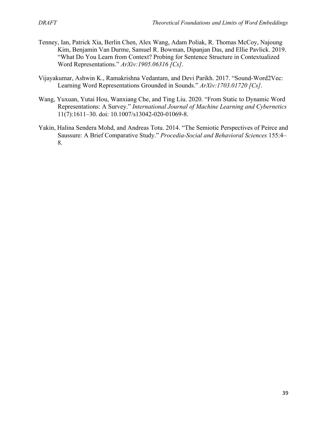- Tenney, Ian, Patrick Xia, Berlin Chen, Alex Wang, Adam Poliak, R. Thomas McCoy, Najoung Kim, Benjamin Van Durme, Samuel R. Bowman, Dipanjan Das, and Ellie Pavlick. 2019. "What Do You Learn from Context? Probing for Sentence Structure in Contextualized Word Representations." *ArXiv:1905.06316 [Cs]*.
- Vijayakumar, Ashwin K., Ramakrishna Vedantam, and Devi Parikh. 2017. "Sound-Word2Vec: Learning Word Representations Grounded in Sounds." *ArXiv:1703.01720 [Cs]*.
- Wang, Yuxuan, Yutai Hou, Wanxiang Che, and Ting Liu. 2020. "From Static to Dynamic Word Representations: A Survey." *International Journal of Machine Learning and Cybernetics* 11(7):1611–30. doi: 10.1007/s13042-020-01069-8.
- Yakin, Halina Sendera Mohd, and Andreas Totu. 2014. "The Semiotic Perspectives of Peirce and Saussure: A Brief Comparative Study." *Procedia-Social and Behavioral Sciences* 155:4– 8.